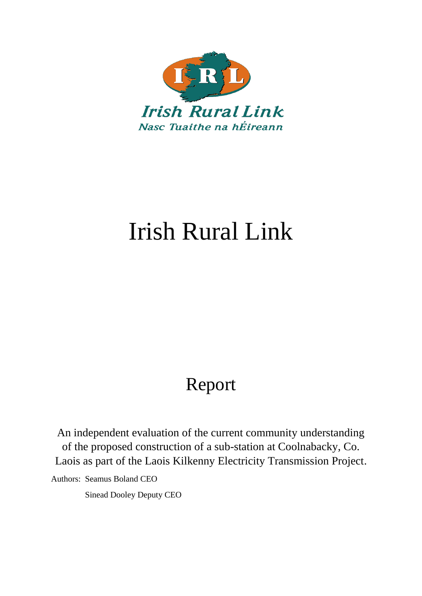

# Irish Rural Link

# Report

An independent evaluation of the current community understanding of the proposed construction of a sub-station at Coolnabacky, Co. Laois as part of the Laois Kilkenny Electricity Transmission Project.

Authors: Seamus Boland CEO

Sinead Dooley Deputy CEO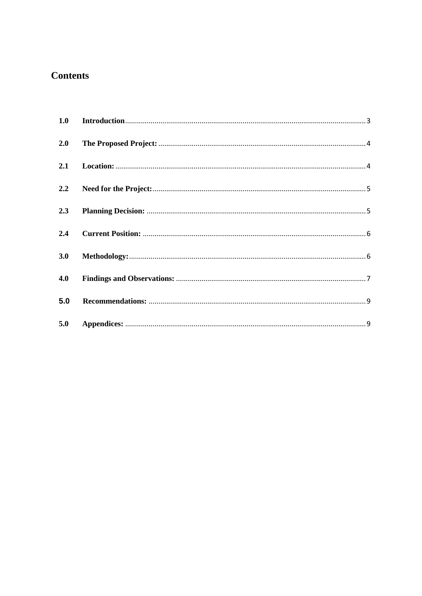# **Contents**

| 2.0 |  |
|-----|--|
|     |  |
|     |  |
|     |  |
| 2.4 |  |
| 3.0 |  |
| 4.0 |  |
| 5.0 |  |
| 5.0 |  |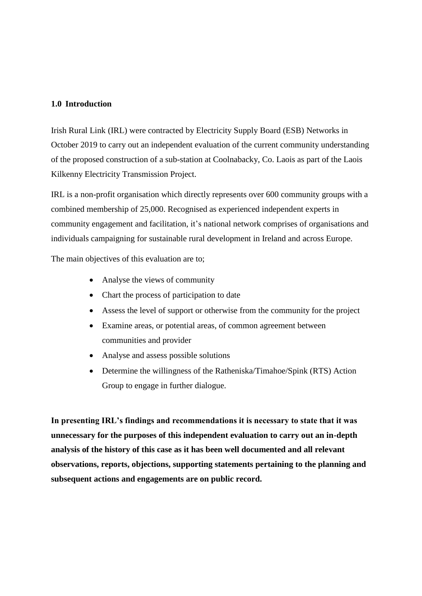### <span id="page-2-0"></span>**1.0 Introduction**

Irish Rural Link (IRL) were contracted by Electricity Supply Board (ESB) Networks in October 2019 to carry out an independent evaluation of the current community understanding of the proposed construction of a sub-station at Coolnabacky, Co. Laois as part of the Laois Kilkenny Electricity Transmission Project.

IRL is a non-profit organisation which directly represents over 600 community groups with a combined membership of 25,000. Recognised as experienced independent experts in community engagement and facilitation, it's national network comprises of organisations and individuals campaigning for sustainable rural development in Ireland and across Europe.

The main objectives of this evaluation are to;

- Analyse the views of community
- Chart the process of participation to date
- Assess the level of support or otherwise from the community for the project
- Examine areas, or potential areas, of common agreement between communities and provider
- Analyse and assess possible solutions
- Determine the willingness of the Ratheniska/Timahoe/Spink (RTS) Action Group to engage in further dialogue.

**In presenting IRL's findings and recommendations it is necessary to state that it was unnecessary for the purposes of this independent evaluation to carry out an in-depth analysis of the history of this case as it has been well documented and all relevant observations, reports, objections, supporting statements pertaining to the planning and subsequent actions and engagements are on public record.**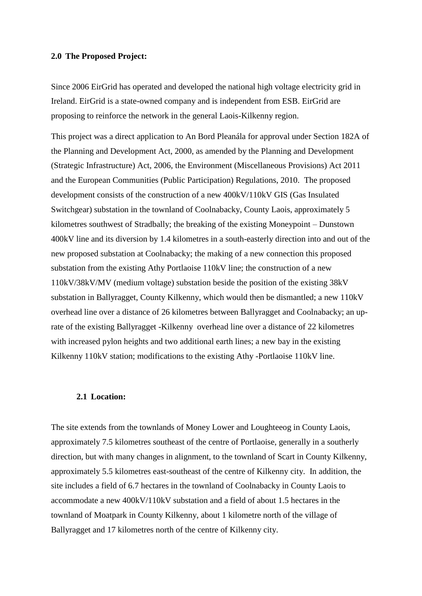#### <span id="page-3-0"></span>**2.0 The Proposed Project:**

Since 2006 EirGrid has operated and developed the national high voltage electricity grid in Ireland. EirGrid is a state-owned company and is independent from ESB. EirGrid are proposing to reinforce the network in the general Laois-Kilkenny region.

This project was a direct application to An Bord Pleanála for approval under Section 182A of the Planning and Development Act, 2000, as amended by the Planning and Development (Strategic Infrastructure) Act, 2006, the Environment (Miscellaneous Provisions) Act 2011 and the European Communities (Public Participation) Regulations, 2010. The proposed development consists of the construction of a new 400kV/110kV GIS (Gas Insulated Switchgear) substation in the townland of Coolnabacky, County Laois, approximately 5 kilometres southwest of Stradbally; the breaking of the existing Moneypoint – Dunstown 400kV line and its diversion by 1.4 kilometres in a south-easterly direction into and out of the new proposed substation at Coolnabacky; the making of a new connection this proposed substation from the existing Athy Portlaoise 110kV line; the construction of a new 110kV/38kV/MV (medium voltage) substation beside the position of the existing 38kV substation in Ballyragget, County Kilkenny, which would then be dismantled; a new 110kV overhead line over a distance of 26 kilometres between Ballyragget and Coolnabacky; an uprate of the existing Ballyragget -Kilkenny overhead line over a distance of 22 kilometres with increased pylon heights and two additional earth lines; a new bay in the existing Kilkenny 110kV station; modifications to the existing Athy -Portlaoise 110kV line.

#### <span id="page-3-1"></span>**2.1 Location:**

The site extends from the townlands of Money Lower and Loughteeog in County Laois, approximately 7.5 kilometres southeast of the centre of Portlaoise, generally in a southerly direction, but with many changes in alignment, to the townland of Scart in County Kilkenny, approximately 5.5 kilometres east-southeast of the centre of Kilkenny city. In addition, the site includes a field of 6.7 hectares in the townland of Coolnabacky in County Laois to accommodate a new 400kV/110kV substation and a field of about 1.5 hectares in the townland of Moatpark in County Kilkenny, about 1 kilometre north of the village of Ballyragget and 17 kilometres north of the centre of Kilkenny city.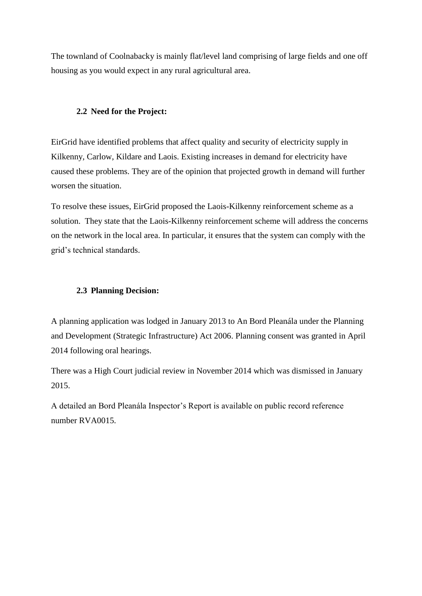The townland of Coolnabacky is mainly flat/level land comprising of large fields and one off housing as you would expect in any rural agricultural area.

# <span id="page-4-0"></span>**2.2 Need for the Project:**

EirGrid have identified problems that affect quality and security of electricity supply in Kilkenny, Carlow, Kildare and Laois. Existing increases in demand for electricity have caused these problems. They are of the opinion that projected growth in demand will further worsen the situation.

To resolve these issues, EirGrid proposed the Laois-Kilkenny reinforcement scheme as a solution. They state that the Laois-Kilkenny reinforcement scheme will address the concerns on the network in the local area. In particular, it ensures that the system can comply with the grid's technical standards.

# <span id="page-4-1"></span>**2.3 Planning Decision:**

A planning application was lodged in January 2013 to An Bord Pleanála under the Planning and Development (Strategic Infrastructure) Act 2006. Planning consent was granted in April 2014 following oral hearings.

There was a High Court judicial review in November 2014 which was dismissed in January 2015.

A detailed an Bord Pleanála Inspector's Report is available on public record reference number RVA0015.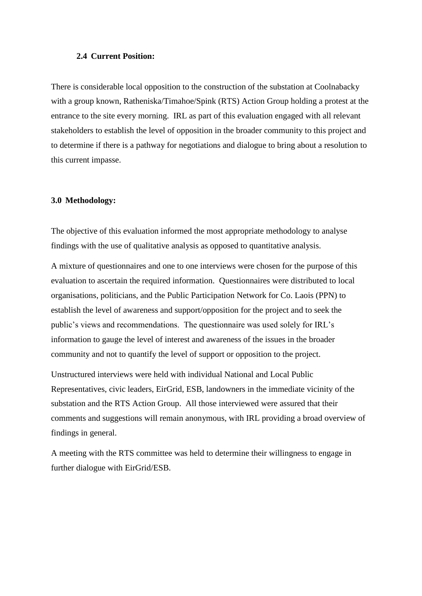#### <span id="page-5-0"></span>**2.4 Current Position:**

There is considerable local opposition to the construction of the substation at Coolnabacky with a group known, Ratheniska/Timahoe/Spink (RTS) Action Group holding a protest at the entrance to the site every morning. IRL as part of this evaluation engaged with all relevant stakeholders to establish the level of opposition in the broader community to this project and to determine if there is a pathway for negotiations and dialogue to bring about a resolution to this current impasse.

### <span id="page-5-1"></span>**3.0 Methodology:**

The objective of this evaluation informed the most appropriate methodology to analyse findings with the use of qualitative analysis as opposed to quantitative analysis.

A mixture of questionnaires and one to one interviews were chosen for the purpose of this evaluation to ascertain the required information. Questionnaires were distributed to local organisations, politicians, and the Public Participation Network for Co. Laois (PPN) to establish the level of awareness and support/opposition for the project and to seek the public's views and recommendations. The questionnaire was used solely for IRL's information to gauge the level of interest and awareness of the issues in the broader community and not to quantify the level of support or opposition to the project.

Unstructured interviews were held with individual National and Local Public Representatives, civic leaders, EirGrid, ESB, landowners in the immediate vicinity of the substation and the RTS Action Group. All those interviewed were assured that their comments and suggestions will remain anonymous, with IRL providing a broad overview of findings in general.

A meeting with the RTS committee was held to determine their willingness to engage in further dialogue with EirGrid/ESB.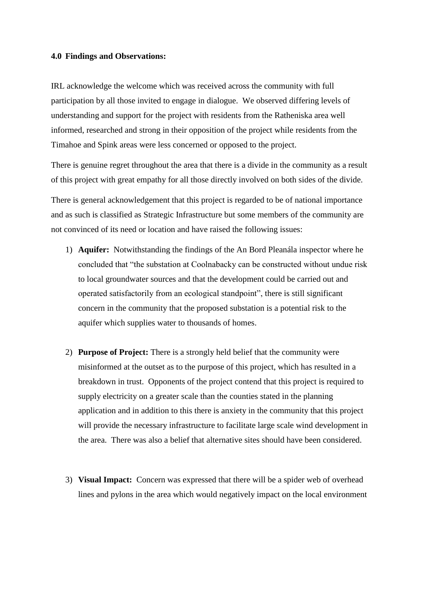#### <span id="page-6-0"></span>**4.0 Findings and Observations:**

IRL acknowledge the welcome which was received across the community with full participation by all those invited to engage in dialogue. We observed differing levels of understanding and support for the project with residents from the Ratheniska area well informed, researched and strong in their opposition of the project while residents from the Timahoe and Spink areas were less concerned or opposed to the project.

There is genuine regret throughout the area that there is a divide in the community as a result of this project with great empathy for all those directly involved on both sides of the divide.

There is general acknowledgement that this project is regarded to be of national importance and as such is classified as Strategic Infrastructure but some members of the community are not convinced of its need or location and have raised the following issues:

- 1) **Aquifer:** Notwithstanding the findings of the An Bord Pleanála inspector where he concluded that "the substation at Coolnabacky can be constructed without undue risk to local groundwater sources and that the development could be carried out and operated satisfactorily from an ecological standpoint", there is still significant concern in the community that the proposed substation is a potential risk to the aquifer which supplies water to thousands of homes.
- 2) **Purpose of Project:** There is a strongly held belief that the community were misinformed at the outset as to the purpose of this project, which has resulted in a breakdown in trust. Opponents of the project contend that this project is required to supply electricity on a greater scale than the counties stated in the planning application and in addition to this there is anxiety in the community that this project will provide the necessary infrastructure to facilitate large scale wind development in the area. There was also a belief that alternative sites should have been considered.
- 3) **Visual Impact:** Concern was expressed that there will be a spider web of overhead lines and pylons in the area which would negatively impact on the local environment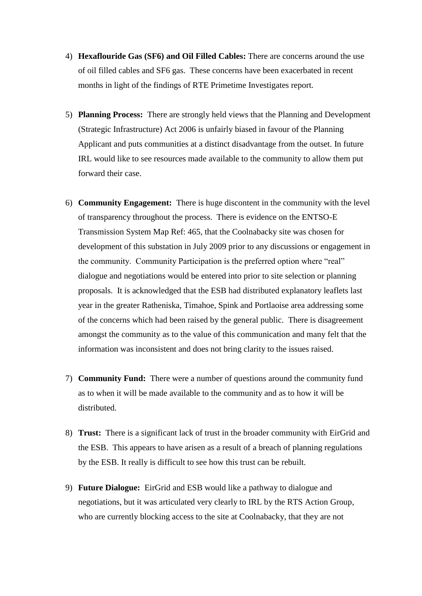- 4) **Hexaflouride Gas (SF6) and Oil Filled Cables:** There are concerns around the use of oil filled cables and SF6 gas. These concerns have been exacerbated in recent months in light of the findings of RTE Primetime Investigates report.
- 5) **Planning Process:** There are strongly held views that the Planning and Development (Strategic Infrastructure) Act 2006 is unfairly biased in favour of the Planning Applicant and puts communities at a distinct disadvantage from the outset. In future IRL would like to see resources made available to the community to allow them put forward their case.
- 6) **Community Engagement:** There is huge discontent in the community with the level of transparency throughout the process. There is evidence on the ENTSO-E Transmission System Map Ref: 465, that the Coolnabacky site was chosen for development of this substation in July 2009 prior to any discussions or engagement in the community. Community Participation is the preferred option where "real" dialogue and negotiations would be entered into prior to site selection or planning proposals. It is acknowledged that the ESB had distributed explanatory leaflets last year in the greater Ratheniska, Timahoe, Spink and Portlaoise area addressing some of the concerns which had been raised by the general public. There is disagreement amongst the community as to the value of this communication and many felt that the information was inconsistent and does not bring clarity to the issues raised.
- 7) **Community Fund:** There were a number of questions around the community fund as to when it will be made available to the community and as to how it will be distributed.
- 8) **Trust:** There is a significant lack of trust in the broader community with EirGrid and the ESB. This appears to have arisen as a result of a breach of planning regulations by the ESB. It really is difficult to see how this trust can be rebuilt.
- 9) **Future Dialogue:** EirGrid and ESB would like a pathway to dialogue and negotiations, but it was articulated very clearly to IRL by the RTS Action Group, who are currently blocking access to the site at Coolnabacky, that they are not